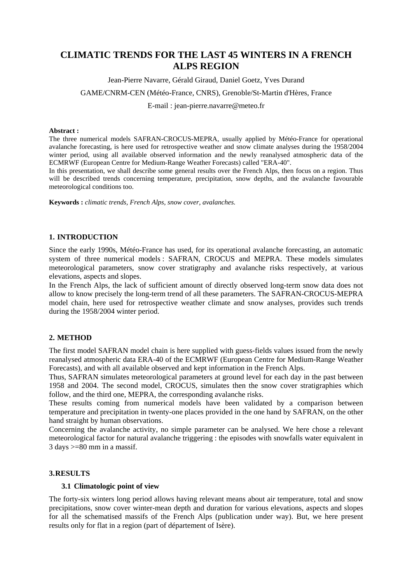# **CLIMATIC TRENDS FOR THE LAST 45 WINTERS IN A FRENCH ALPS REGION**

Jean-Pierre Navarre, Gérald Giraud, Daniel Goetz, Yves Durand

GAME/CNRM-CEN (Météo-France, CNRS), Grenoble/St-Martin d'Hères, France

E-mail : jean-pierre.navarre@meteo.fr

#### **Abstract :**

The three numerical models SAFRAN-CROCUS-MEPRA, usually applied by Météo-France for operational avalanche forecasting, is here used for retrospective weather and snow climate analyses during the 1958/2004 winter period, using all available observed information and the newly reanalysed atmospheric data of the ECMRWF (European Centre for Medium-Range Weather Forecasts) called "ERA-40".

In this presentation, we shall describe some general results over the French Alps, then focus on a region. Thus will be described trends concerning temperature, precipitation, snow depths, and the avalanche favourable meteorological conditions too.

**Keywords :** *climatic trends, French Alps, snow cover, avalanches.* 

#### **1. INTRODUCTION**

Since the early 1990s, Météo-France has used, for its operational avalanche forecasting, an automatic system of three numerical models : SAFRAN, CROCUS and MEPRA. These models simulates meteorological parameters, snow cover stratigraphy and avalanche risks respectively, at various elevations, aspects and slopes.

In the French Alps, the lack of sufficient amount of directly observed long-term snow data does not allow to know precisely the long-term trend of all these parameters. The SAFRAN-CROCUS-MEPRA model chain, here used for retrospective weather climate and snow analyses, provides such trends during the 1958/2004 winter period.

# **2. METHOD**

The first model SAFRAN model chain is here supplied with guess-fields values issued from the newly reanalysed atmospheric data ERA-40 of the ECMRWF (European Centre for Medium-Range Weather Forecasts), and with all available observed and kept information in the French Alps.

Thus, SAFRAN simulates meteorological parameters at ground level for each day in the past between 1958 and 2004. The second model, CROCUS, simulates then the snow cover stratigraphies which follow, and the third one, MEPRA, the corresponding avalanche risks.

These results coming from numerical models have been validated by a comparison between temperature and precipitation in twenty-one places provided in the one hand by SAFRAN, on the other hand straight by human observations.

Concerning the avalanche activity, no simple parameter can be analysed. We here chose a relevant meteorological factor for natural avalanche triggering : the episodes with snowfalls water equivalent in  $3 \text{ days} \ge 80 \text{ mm}$  in a massif.

### **3. RESULTS**

## **3.1 Climatologic point of view**

The forty-six winters long period allows having relevant means about air temperature, total and snow precipitations, snow cover winter-mean depth and duration for various elevations, aspects and slopes for all the schematised massifs of the French Alps (publication under way). But, we here present results only for flat in a region (part of département of Isère).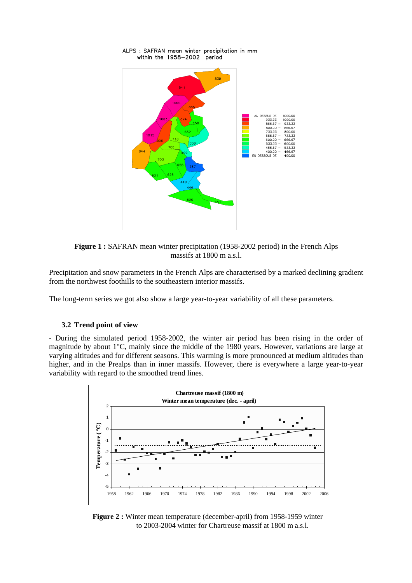

ALPS : SAFRAN mean winter precipitation in mm within the 1958–2002 period

**Figure 1 :** SAFRAN mean winter precipitation (1958-2002 period) in the French Alps massifs at 1800 m a.s.l.

Precipitation and snow parameters in the French Alps are characterised by a marked declining gradient from the northwest foothills to the southeastern interior massifs.

The long-term series we got also show a large year-to-year variability of all these parameters.

## **3.2 Trend point of view**

- During the simulated period 1958-2002, the winter air period has been rising in the order of magnitude by about 1°C, mainly since the middle of the 1980 years. However, variations are large at varying altitudes and for different seasons. This warming is more pronounced at medium altitudes than higher, and in the Prealps than in inner massifs. However, there is everywhere a large year-to-year variability with regard to the smoothed trend lines.



**Figure 2 :** Winter mean temperature (december-april) from 1958-1959 winter to 2003-2004 winter for Chartreuse massif at 1800 m a.s.l.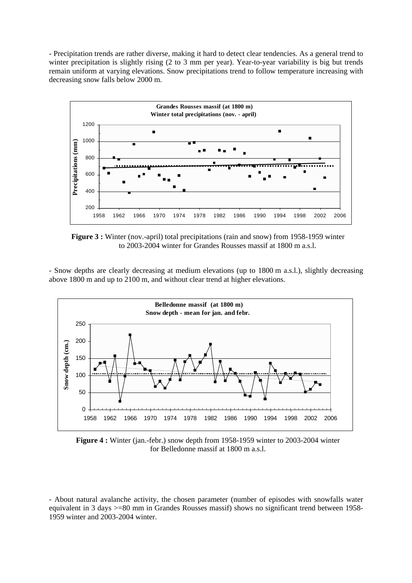- Precipitation trends are rather diverse, making it hard to detect clear tendencies. As a general trend to winter precipitation is slightly rising (2 to 3 mm per year). Year-to-year variability is big but trends remain uniform at varying elevations. Snow precipitations trend to follow temperature increasing with decreasing snow falls below 2000 m.



**Figure 3 :** Winter (nov.-april) total precipitations (rain and snow) from 1958-1959 winter to 2003-2004 winter for Grandes Rousses massif at 1800 m a.s.l.

- Snow depths are clearly decreasing at medium elevations (up to 1800 m a.s.l.), slightly decreasing above 1800 m and up to 2100 m, and without clear trend at higher elevations.



**Figure 4 :** Winter (jan.-febr.) snow depth from 1958-1959 winter to 2003-2004 winter for Belledonne massif at 1800 m a.s.l.

<sup>-</sup> About natural avalanche activity, the chosen parameter (number of episodes with snowfalls water equivalent in 3 days >=80 mm in Grandes Rousses massif) shows no significant trend between 1958- 1959 winter and 2003-2004 winter.